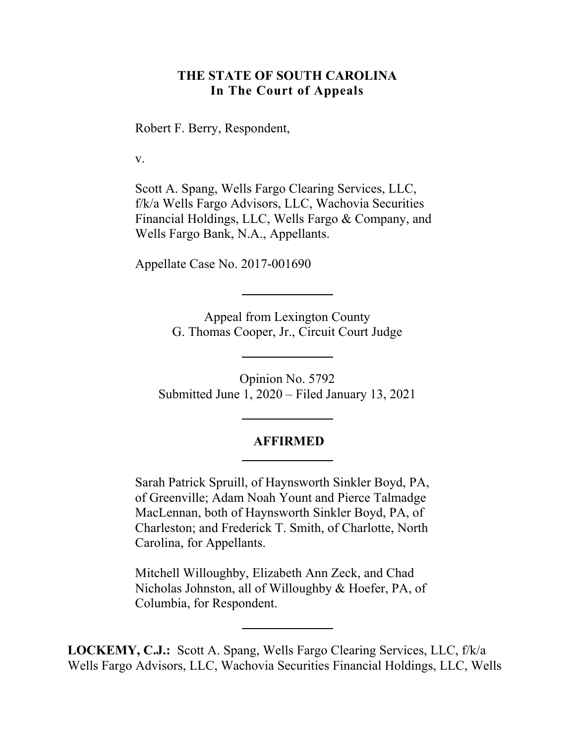#### **THE STATE OF SOUTH CAROLINA In The Court of Appeals**

Robert F. Berry, Respondent,

v.

Scott A. Spang, Wells Fargo Clearing Services, LLC, f/k/a Wells Fargo Advisors, LLC, Wachovia Securities Financial Holdings, LLC, Wells Fargo & Company, and Wells Fargo Bank, N.A., Appellants.

Appellate Case No. 2017-001690

Appeal from Lexington County G. Thomas Cooper, Jr., Circuit Court Judge

Opinion No. 5792 Submitted June 1, 2020 – Filed January 13, 2021

#### **AFFIRMED**

Sarah Patrick Spruill, of Haynsworth Sinkler Boyd, PA, of Greenville; Adam Noah Yount and Pierce Talmadge MacLennan, both of Haynsworth Sinkler Boyd, PA, of Charleston; and Frederick T. Smith, of Charlotte, North Carolina, for Appellants.

Mitchell Willoughby, Elizabeth Ann Zeck, and Chad Nicholas Johnston, all of Willoughby & Hoefer, PA, of Columbia, for Respondent.

**LOCKEMY, C.J.:** Scott A. Spang, Wells Fargo Clearing Services, LLC, f/k/a Wells Fargo Advisors, LLC, Wachovia Securities Financial Holdings, LLC, Wells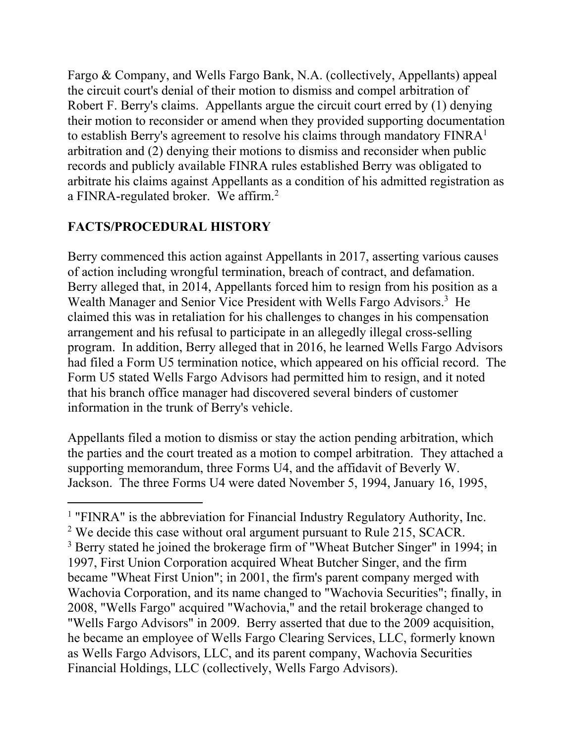a FINRA-regulated broker. We affirm. $^2$ Fargo & Company, and Wells Fargo Bank, N.A. (collectively, Appellants) appeal the circuit court's denial of their motion to dismiss and compel arbitration of Robert F. Berry's claims. Appellants argue the circuit court erred by (1) denying their motion to reconsider or amend when they provided supporting documentation to establish Berry's agreement to resolve his claims through mandatory  $FINRA<sup>1</sup>$ arbitration and (2) denying their motions to dismiss and reconsider when public records and publicly available FINRA rules established Berry was obligated to arbitrate his claims against Appellants as a condition of his admitted registration as

# **FACTS/PROCEDURAL HISTORY**

 $\overline{a}$ 

Berry commenced this action against Appellants in 2017, asserting various causes of action including wrongful termination, breach of contract, and defamation. Berry alleged that, in 2014, Appellants forced him to resign from his position as a Wealth Manager and Senior Vice President with Wells Fargo Advisors.<sup>3</sup> He claimed this was in retaliation for his challenges to changes in his compensation arrangement and his refusal to participate in an allegedly illegal cross-selling program. In addition, Berry alleged that in 2016, he learned Wells Fargo Advisors had filed a Form U5 termination notice, which appeared on his official record. The Form U5 stated Wells Fargo Advisors had permitted him to resign, and it noted that his branch office manager had discovered several binders of customer information in the trunk of Berry's vehicle.

Appellants filed a motion to dismiss or stay the action pending arbitration, which the parties and the court treated as a motion to compel arbitration. They attached a supporting memorandum, three Forms U4, and the affidavit of Beverly W. Jackson. The three Forms U4 were dated November 5, 1994, January 16, 1995,

<sup>&</sup>lt;sup>1</sup> "FINRA" is the abbreviation for Financial Industry Regulatory Authority, Inc. <sup>2</sup> We decide this case without oral argument pursuant to Rule 215, SCACR. <sup>3</sup> Berry stated he joined the brokerage firm of "Wheat Butcher Singer" in 1994; in 1997, First Union Corporation acquired Wheat Butcher Singer, and the firm became "Wheat First Union"; in 2001, the firm's parent company merged with Wachovia Corporation, and its name changed to "Wachovia Securities"; finally, in 2008, "Wells Fargo" acquired "Wachovia," and the retail brokerage changed to "Wells Fargo Advisors" in 2009. Berry asserted that due to the 2009 acquisition, he became an employee of Wells Fargo Clearing Services, LLC, formerly known as Wells Fargo Advisors, LLC, and its parent company, Wachovia Securities Financial Holdings, LLC (collectively, Wells Fargo Advisors).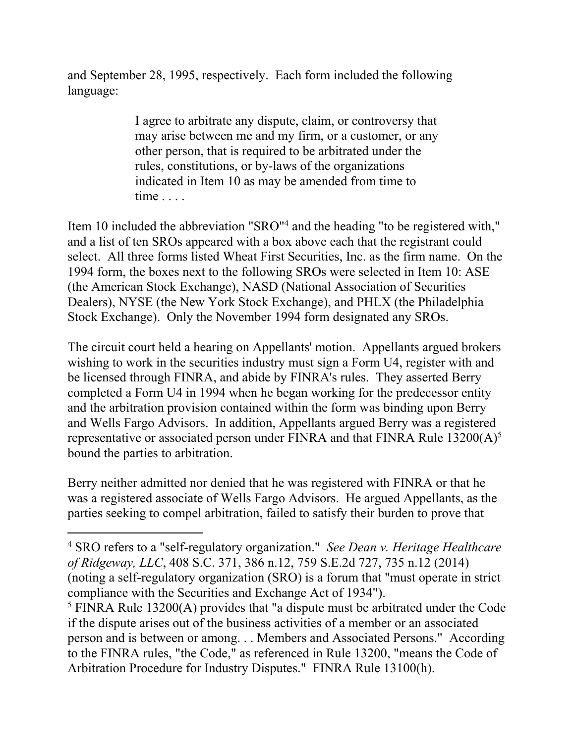and September 28, 1995, respectively. Each form included the following language:

> I agree to arbitrate any dispute, claim, or controversy that may arise between me and my firm, or a customer, or any other person, that is required to be arbitrated under the rules, constitutions, or by-laws of the organizations indicated in Item 10 as may be amended from time to time . . . .

Item 10 included the abbreviation "SRO"<sup>4</sup> and the heading "to be registered with," and a list of ten SROs appeared with a box above each that the registrant could select. All three forms listed Wheat First Securities, Inc. as the firm name. On the 1994 form, the boxes next to the following SROs were selected in Item 10: ASE (the American Stock Exchange), NASD (National Association of Securities Dealers), NYSE (the New York Stock Exchange), and PHLX (the Philadelphia Stock Exchange). Only the November 1994 form designated any SROs.

The circuit court held a hearing on Appellants' motion. Appellants argued brokers wishing to work in the securities industry must sign a Form U4, register with and be licensed through FINRA, and abide by FINRA's rules. They asserted Berry completed a Form U4 in 1994 when he began working for the predecessor entity and the arbitration provision contained within the form was binding upon Berry and Wells Fargo Advisors. In addition, Appellants argued Berry was a registered representative or associated person under FINRA and that FINRA Rule 13200( $A$ )<sup>5</sup> bound the parties to arbitration.

Berry neither admitted nor denied that he was registered with FINRA or that he was a registered associate of Wells Fargo Advisors. He argued Appellants, as the parties seeking to compel arbitration, failed to satisfy their burden to prove that

 $\overline{a}$ 

<sup>4</sup> SRO refers to a "self-regulatory organization." *See Dean v. Heritage Healthcare of Ridgeway, LLC*, 408 S.C. 371, 386 n.12, 759 S.E.2d 727, 735 n.12 (2014) (noting a self-regulatory organization (SRO) is a forum that "must operate in strict compliance with the Securities and Exchange Act of 1934").

<sup>&</sup>lt;sup>5</sup> FINRA Rule 13200(A) provides that "a dispute must be arbitrated under the Code if the dispute arises out of the business activities of a member or an associated person and is between or among. . . Members and Associated Persons." According to the FINRA rules, "the Code," as referenced in Rule 13200, "means the Code of Arbitration Procedure for Industry Disputes." FINRA Rule 13100(h).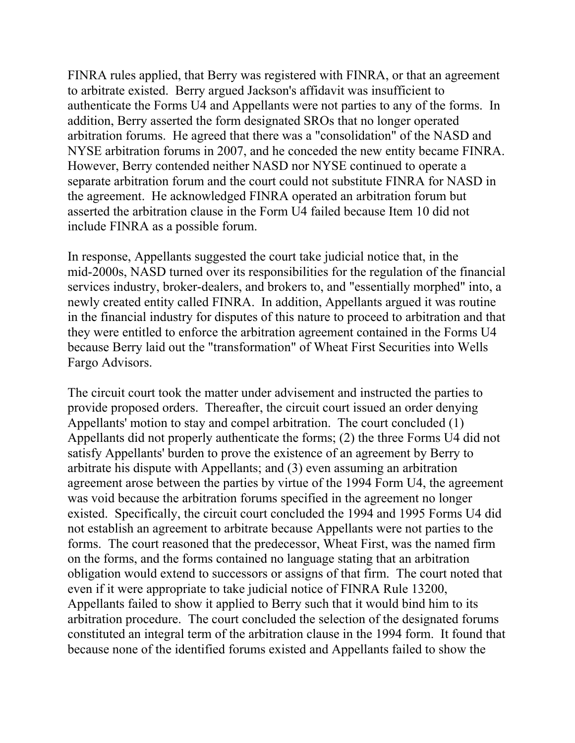include FINRA as a possible forum. FINRA rules applied, that Berry was registered with FINRA, or that an agreement to arbitrate existed. Berry argued Jackson's affidavit was insufficient to authenticate the Forms U4 and Appellants were not parties to any of the forms. In addition, Berry asserted the form designated SROs that no longer operated arbitration forums. He agreed that there was a "consolidation" of the NASD and NYSE arbitration forums in 2007, and he conceded the new entity became FINRA. However, Berry contended neither NASD nor NYSE continued to operate a separate arbitration forum and the court could not substitute FINRA for NASD in the agreement. He acknowledged FINRA operated an arbitration forum but asserted the arbitration clause in the Form U4 failed because Item 10 did not

In response, Appellants suggested the court take judicial notice that, in the mid-2000s, NASD turned over its responsibilities for the regulation of the financial services industry, broker-dealers, and brokers to, and "essentially morphed" into, a newly created entity called FINRA. In addition, Appellants argued it was routine in the financial industry for disputes of this nature to proceed to arbitration and that they were entitled to enforce the arbitration agreement contained in the Forms U4 because Berry laid out the "transformation" of Wheat First Securities into Wells Fargo Advisors.

The circuit court took the matter under advisement and instructed the parties to provide proposed orders. Thereafter, the circuit court issued an order denying Appellants' motion to stay and compel arbitration. The court concluded (1) Appellants did not properly authenticate the forms; (2) the three Forms U4 did not satisfy Appellants' burden to prove the existence of an agreement by Berry to arbitrate his dispute with Appellants; and (3) even assuming an arbitration agreement arose between the parties by virtue of the 1994 Form U4, the agreement was void because the arbitration forums specified in the agreement no longer existed. Specifically, the circuit court concluded the 1994 and 1995 Forms U4 did not establish an agreement to arbitrate because Appellants were not parties to the forms. The court reasoned that the predecessor, Wheat First, was the named firm on the forms, and the forms contained no language stating that an arbitration obligation would extend to successors or assigns of that firm. The court noted that even if it were appropriate to take judicial notice of FINRA Rule 13200, Appellants failed to show it applied to Berry such that it would bind him to its arbitration procedure. The court concluded the selection of the designated forums constituted an integral term of the arbitration clause in the 1994 form. It found that because none of the identified forums existed and Appellants failed to show the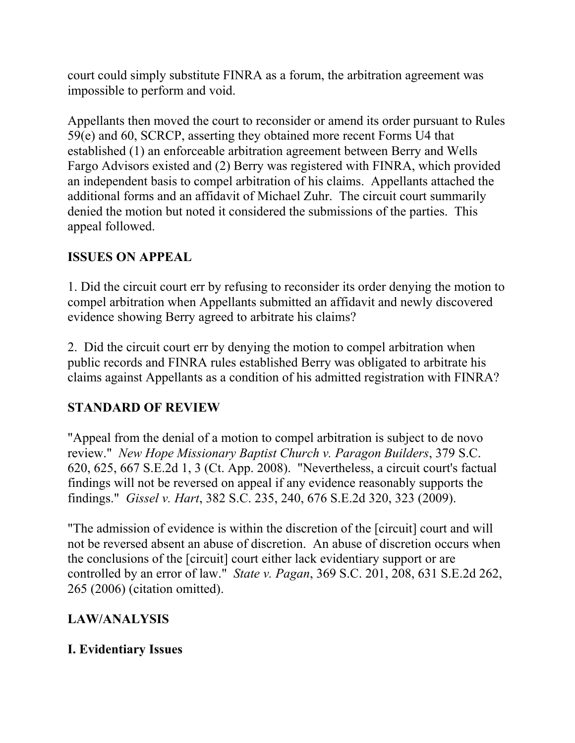court could simply substitute FINRA as a forum, the arbitration agreement was impossible to perform and void.

Appellants then moved the court to reconsider or amend its order pursuant to Rules 59(e) and 60, SCRCP, asserting they obtained more recent Forms U4 that established (1) an enforceable arbitration agreement between Berry and Wells Fargo Advisors existed and (2) Berry was registered with FINRA, which provided an independent basis to compel arbitration of his claims. Appellants attached the additional forms and an affidavit of Michael Zuhr. The circuit court summarily denied the motion but noted it considered the submissions of the parties. This appeal followed.

# **ISSUES ON APPEAL**

1. Did the circuit court err by refusing to reconsider its order denying the motion to compel arbitration when Appellants submitted an affidavit and newly discovered evidence showing Berry agreed to arbitrate his claims?

2. Did the circuit court err by denying the motion to compel arbitration when public records and FINRA rules established Berry was obligated to arbitrate his claims against Appellants as a condition of his admitted registration with FINRA?

### **STANDARD OF REVIEW**

"Appeal from the denial of a motion to compel arbitration is subject to de novo review." *New Hope Missionary Baptist Church v. Paragon Builders*, 379 S.C. 620, 625, 667 S.E.2d 1, 3 (Ct. App. 2008). "Nevertheless, a circuit court's factual findings will not be reversed on appeal if any evidence reasonably supports the findings." *Gissel v. Hart*, 382 S.C. 235, 240, 676 S.E.2d 320, 323 (2009).

"The admission of evidence is within the discretion of the [circuit] court and will not be reversed absent an abuse of discretion. An abuse of discretion occurs when the conclusions of the [circuit] court either lack evidentiary support or are controlled by an error of law." *State v. Pagan*, 369 S.C. 201, 208, 631 S.E.2d 262, 265 (2006) (citation omitted).

# **LAW/ANALYSIS**

# **I. Evidentiary Issues**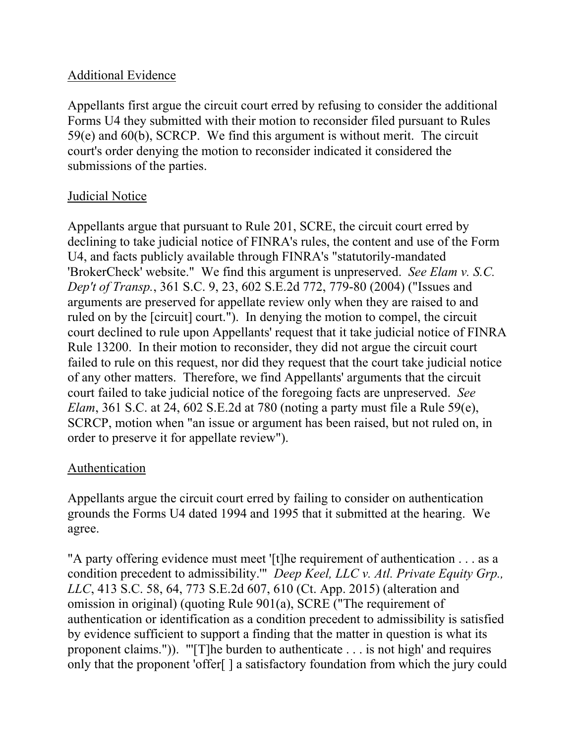#### Additional Evidence

Appellants first argue the circuit court erred by refusing to consider the additional Forms U4 they submitted with their motion to reconsider filed pursuant to Rules 59(e) and 60(b), SCRCP. We find this argument is without merit. The circuit court's order denying the motion to reconsider indicated it considered the submissions of the parties.

### Judicial Notice

Appellants argue that pursuant to Rule 201, SCRE, the circuit court erred by declining to take judicial notice of FINRA's rules, the content and use of the Form U4, and facts publicly available through FINRA's "statutorily-mandated 'BrokerCheck' website." We find this argument is unpreserved. *See Elam v. S.C. Dep't of Transp.*, 361 S.C. 9, 23, 602 S.E.2d 772, 779-80 (2004) ("Issues and arguments are preserved for appellate review only when they are raised to and ruled on by the [circuit] court."). In denying the motion to compel, the circuit court declined to rule upon Appellants' request that it take judicial notice of FINRA Rule 13200. In their motion to reconsider, they did not argue the circuit court failed to rule on this request, nor did they request that the court take judicial notice of any other matters. Therefore, we find Appellants' arguments that the circuit court failed to take judicial notice of the foregoing facts are unpreserved. *See Elam*, 361 S.C. at 24, 602 S.E.2d at 780 (noting a party must file a Rule 59(e), SCRCP, motion when "an issue or argument has been raised, but not ruled on, in order to preserve it for appellate review").

### Authentication

Appellants argue the circuit court erred by failing to consider on authentication grounds the Forms U4 dated 1994 and 1995 that it submitted at the hearing. We agree.

"A party offering evidence must meet '[t]he requirement of authentication . . . as a condition precedent to admissibility.'" *Deep Keel, LLC v. Atl. Private Equity Grp., LLC*, 413 S.C. 58, 64, 773 S.E.2d 607, 610 (Ct. App. 2015) (alteration and omission in original) (quoting Rule 901(a), SCRE ("The requirement of authentication or identification as a condition precedent to admissibility is satisfied by evidence sufficient to support a finding that the matter in question is what its proponent claims.")). "'[T]he burden to authenticate . . . is not high' and requires only that the proponent 'offer[ ] a satisfactory foundation from which the jury could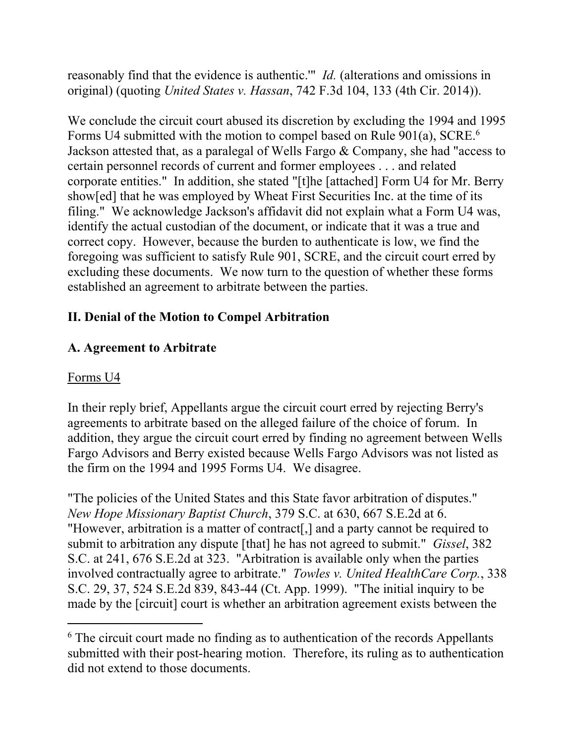reasonably find that the evidence is authentic.'" *Id.* (alterations and omissions in original) (quoting *United States v. Hassan*, 742 F.3d 104, 133 (4th Cir. 2014)).

Forms U4 submitted with the motion to compel based on Rule 901(a), SCRE.<sup>6</sup> We conclude the circuit court abused its discretion by excluding the 1994 and 1995 Jackson attested that, as a paralegal of Wells Fargo & Company, she had "access to certain personnel records of current and former employees . . . and related corporate entities." In addition, she stated "[t]he [attached] Form U4 for Mr. Berry show[ed] that he was employed by Wheat First Securities Inc. at the time of its filing." We acknowledge Jackson's affidavit did not explain what a Form U4 was, identify the actual custodian of the document, or indicate that it was a true and correct copy. However, because the burden to authenticate is low, we find the foregoing was sufficient to satisfy Rule 901, SCRE, and the circuit court erred by excluding these documents. We now turn to the question of whether these forms established an agreement to arbitrate between the parties.

# **II. Denial of the Motion to Compel Arbitration**

### **A. Agreement to Arbitrate**

#### Forms U4

 $\overline{a}$ 

In their reply brief, Appellants argue the circuit court erred by rejecting Berry's agreements to arbitrate based on the alleged failure of the choice of forum. In addition, they argue the circuit court erred by finding no agreement between Wells Fargo Advisors and Berry existed because Wells Fargo Advisors was not listed as the firm on the 1994 and 1995 Forms U4. We disagree.

"The policies of the United States and this State favor arbitration of disputes." *New Hope Missionary Baptist Church*, 379 S.C. at 630, 667 S.E.2d at 6. "However, arbitration is a matter of contract[,] and a party cannot be required to submit to arbitration any dispute [that] he has not agreed to submit." *Gissel*, 382 S.C. at 241, 676 S.E.2d at 323. "Arbitration is available only when the parties involved contractually agree to arbitrate." *Towles v. United HealthCare Corp.*, 338 S.C. 29, 37, 524 S.E.2d 839, 843-44 (Ct. App. 1999). "The initial inquiry to be made by the [circuit] court is whether an arbitration agreement exists between the

 $6$  The circuit court made no finding as to authentication of the records Appellants submitted with their post-hearing motion. Therefore, its ruling as to authentication did not extend to those documents.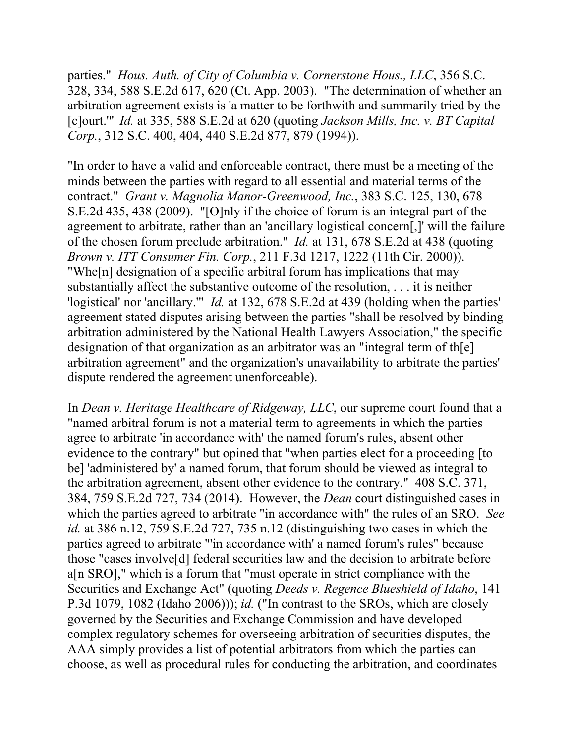parties." *Hous. Auth. of City of Columbia v. Cornerstone Hous., LLC*, 356 S.C. 328, 334, 588 S.E.2d 617, 620 (Ct. App. 2003). "The determination of whether an arbitration agreement exists is 'a matter to be forthwith and summarily tried by the [c]ourt.'" *Id.* at 335, 588 S.E.2d at 620 (quoting *Jackson Mills, Inc. v. BT Capital Corp.*, 312 S.C. 400, 404, 440 S.E.2d 877, 879 (1994)).

"In order to have a valid and enforceable contract, there must be a meeting of the minds between the parties with regard to all essential and material terms of the contract." *Grant v. Magnolia Manor-Greenwood, Inc.*, 383 S.C. 125, 130, 678 S.E.2d 435, 438 (2009). "[O]nly if the choice of forum is an integral part of the agreement to arbitrate, rather than an 'ancillary logistical concern[,]' will the failure of the chosen forum preclude arbitration." *Id.* at 131, 678 S.E.2d at 438 (quoting *Brown v. ITT Consumer Fin. Corp.*, 211 F.3d 1217, 1222 (11th Cir. 2000)). "Whe[n] designation of a specific arbitral forum has implications that may substantially affect the substantive outcome of the resolution, . . . it is neither 'logistical' nor 'ancillary.'" *Id.* at 132, 678 S.E.2d at 439 (holding when the parties' agreement stated disputes arising between the parties "shall be resolved by binding arbitration administered by the National Health Lawyers Association," the specific designation of that organization as an arbitrator was an "integral term of th[e] arbitration agreement" and the organization's unavailability to arbitrate the parties' dispute rendered the agreement unenforceable).

In *Dean v. Heritage Healthcare of Ridgeway, LLC*, our supreme court found that a "named arbitral forum is not a material term to agreements in which the parties agree to arbitrate 'in accordance with' the named forum's rules, absent other evidence to the contrary" but opined that "when parties elect for a proceeding [to be] 'administered by' a named forum, that forum should be viewed as integral to the arbitration agreement, absent other evidence to the contrary." 408 S.C. 371, 384, 759 S.E.2d 727, 734 (2014). However, the *Dean* court distinguished cases in which the parties agreed to arbitrate "in accordance with" the rules of an SRO. *See id.* at 386 n.12, 759 S.E.2d 727, 735 n.12 (distinguishing two cases in which the parties agreed to arbitrate "'in accordance with' a named forum's rules" because those "cases involve[d] federal securities law and the decision to arbitrate before a[n SRO]," which is a forum that "must operate in strict compliance with the Securities and Exchange Act" (quoting *Deeds v. Regence Blueshield of Idaho*, 141 P.3d 1079, 1082 (Idaho 2006))); *id.* ("In contrast to the SROs, which are closely governed by the Securities and Exchange Commission and have developed complex regulatory schemes for overseeing arbitration of securities disputes, the AAA simply provides a list of potential arbitrators from which the parties can choose, as well as procedural rules for conducting the arbitration, and coordinates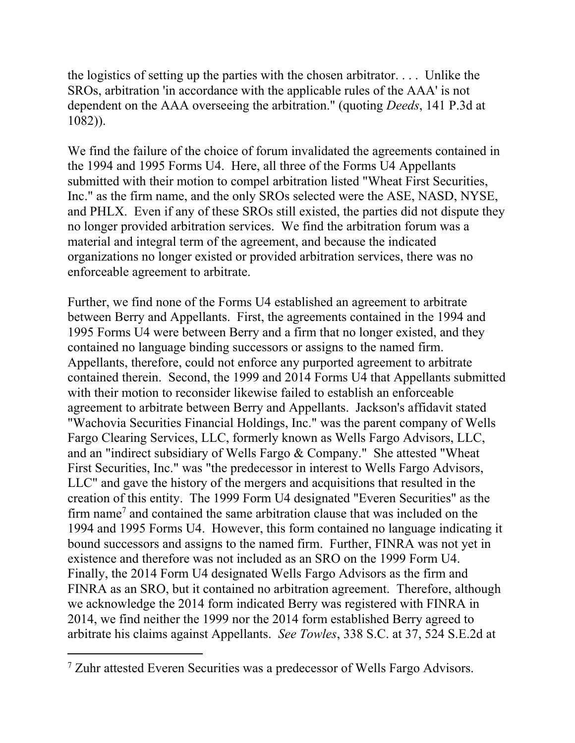the logistics of setting up the parties with the chosen arbitrator. . . . Unlike the SROs, arbitration 'in accordance with the applicable rules of the AAA' is not dependent on the AAA overseeing the arbitration." (quoting *Deeds*, 141 P.3d at 1082)).

We find the failure of the choice of forum invalidated the agreements contained in the 1994 and 1995 Forms U4. Here, all three of the Forms U4 Appellants submitted with their motion to compel arbitration listed "Wheat First Securities, Inc." as the firm name, and the only SROs selected were the ASE, NASD, NYSE, and PHLX. Even if any of these SROs still existed, the parties did not dispute they no longer provided arbitration services. We find the arbitration forum was a material and integral term of the agreement, and because the indicated organizations no longer existed or provided arbitration services, there was no enforceable agreement to arbitrate.

Further, we find none of the Forms U4 established an agreement to arbitrate between Berry and Appellants. First, the agreements contained in the 1994 and 1995 Forms U4 were between Berry and a firm that no longer existed, and they contained no language binding successors or assigns to the named firm. Appellants, therefore, could not enforce any purported agreement to arbitrate contained therein. Second, the 1999 and 2014 Forms U4 that Appellants submitted with their motion to reconsider likewise failed to establish an enforceable agreement to arbitrate between Berry and Appellants. Jackson's affidavit stated "Wachovia Securities Financial Holdings, Inc." was the parent company of Wells Fargo Clearing Services, LLC, formerly known as Wells Fargo Advisors, LLC, and an "indirect subsidiary of Wells Fargo & Company." She attested "Wheat First Securities, Inc." was "the predecessor in interest to Wells Fargo Advisors, LLC" and gave the history of the mergers and acquisitions that resulted in the creation of this entity. The 1999 Form U4 designated "Everen Securities" as the firm name<sup>7</sup> and contained the same arbitration clause that was included on the 1994 and 1995 Forms U4. However, this form contained no language indicating it bound successors and assigns to the named firm. Further, FINRA was not yet in existence and therefore was not included as an SRO on the 1999 Form U4. Finally, the 2014 Form U4 designated Wells Fargo Advisors as the firm and FINRA as an SRO, but it contained no arbitration agreement. Therefore, although we acknowledge the 2014 form indicated Berry was registered with FINRA in 2014, we find neither the 1999 nor the 2014 form established Berry agreed to arbitrate his claims against Appellants. *See Towles*, 338 S.C. at 37, 524 S.E.2d at

 $\overline{a}$ 

<sup>&</sup>lt;sup>7</sup> Zuhr attested Everen Securities was a predecessor of Wells Fargo Advisors.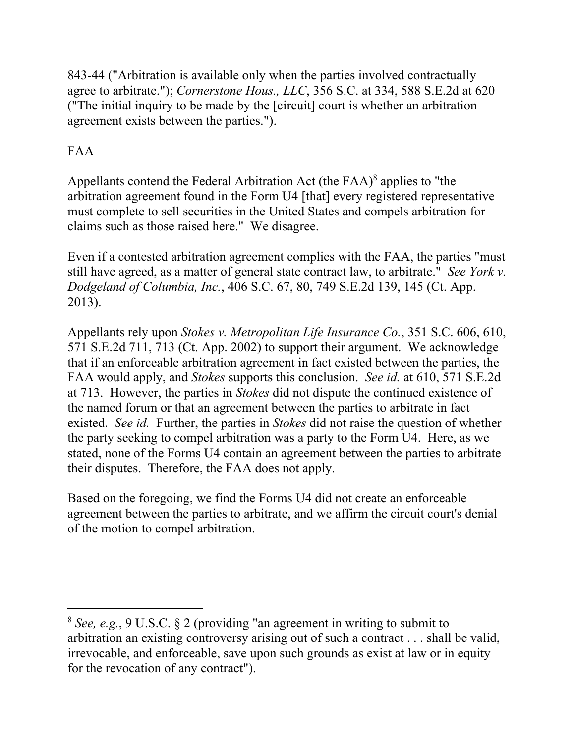843-44 ("Arbitration is available only when the parties involved contractually agree to arbitrate."); *Cornerstone Hous., LLC*, 356 S.C. at 334, 588 S.E.2d at 620 ("The initial inquiry to be made by the [circuit] court is whether an arbitration agreement exists between the parties.").

# FAA

 $\overline{a}$ 

Appellants contend the Federal Arbitration Act (the  $FAA$ )<sup>8</sup> applies to "the arbitration agreement found in the Form U4 [that] every registered representative must complete to sell securities in the United States and compels arbitration for claims such as those raised here." We disagree.

Even if a contested arbitration agreement complies with the FAA, the parties "must still have agreed, as a matter of general state contract law, to arbitrate." *See York v. Dodgeland of Columbia, Inc.*, 406 S.C. 67, 80, 749 S.E.2d 139, 145 (Ct. App. 2013).

Appellants rely upon *Stokes v. Metropolitan Life Insurance Co.*, 351 S.C. 606, 610, 571 S.E.2d 711, 713 (Ct. App. 2002) to support their argument. We acknowledge that if an enforceable arbitration agreement in fact existed between the parties, the FAA would apply, and *Stokes* supports this conclusion. *See id.* at 610, 571 S.E.2d at 713. However, the parties in *Stokes* did not dispute the continued existence of the named forum or that an agreement between the parties to arbitrate in fact existed. *See id.* Further, the parties in *Stokes* did not raise the question of whether the party seeking to compel arbitration was a party to the Form U4. Here, as we stated, none of the Forms U4 contain an agreement between the parties to arbitrate their disputes. Therefore, the FAA does not apply.

Based on the foregoing, we find the Forms U4 did not create an enforceable agreement between the parties to arbitrate, and we affirm the circuit court's denial of the motion to compel arbitration.

<sup>8</sup>*See, e.g.*, 9 U.S.C. § 2 (providing "an agreement in writing to submit to arbitration an existing controversy arising out of such a contract . . . shall be valid, irrevocable, and enforceable, save upon such grounds as exist at law or in equity for the revocation of any contract").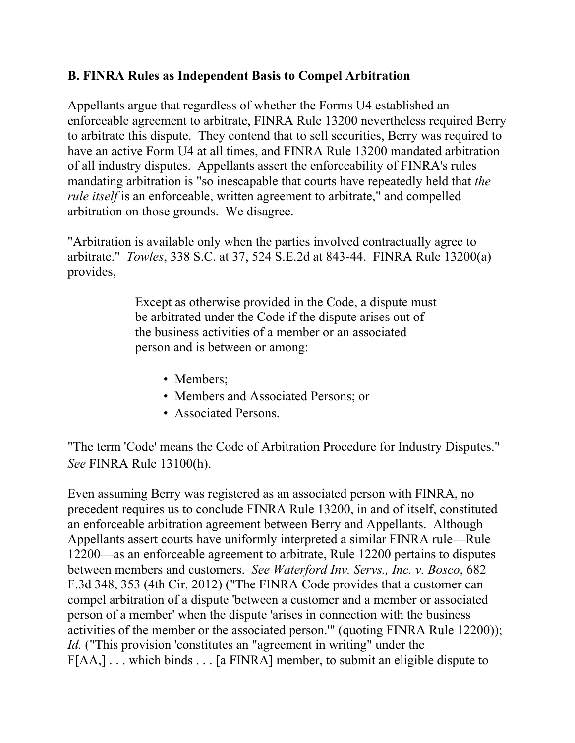#### **B. FINRA Rules as Independent Basis to Compel Arbitration**

Appellants argue that regardless of whether the Forms U4 established an enforceable agreement to arbitrate, FINRA Rule 13200 nevertheless required Berry to arbitrate this dispute. They contend that to sell securities, Berry was required to have an active Form U4 at all times, and FINRA Rule 13200 mandated arbitration of all industry disputes. Appellants assert the enforceability of FINRA's rules mandating arbitration is "so inescapable that courts have repeatedly held that *the rule itself* is an enforceable, written agreement to arbitrate," and compelled arbitration on those grounds. We disagree.

"Arbitration is available only when the parties involved contractually agree to arbitrate." *Towles*, 338 S.C. at 37, 524 S.E.2d at 843-44. FINRA Rule 13200(a) provides,

> Except as otherwise provided in the Code, a dispute must be arbitrated under the Code if the dispute arises out of the business activities of a member or an associated person and is between or among:

- Members;
- Members and Associated Persons; or
- Associated Persons.

"The term 'Code' means the Code of Arbitration Procedure for Industry Disputes." *See* FINRA Rule 13100(h).

Even assuming Berry was registered as an associated person with FINRA, no precedent requires us to conclude FINRA Rule 13200, in and of itself, constituted an enforceable arbitration agreement between Berry and Appellants. Although Appellants assert courts have uniformly interpreted a similar FINRA rule—Rule 12200—as an enforceable agreement to arbitrate, Rule 12200 pertains to disputes between members and customers. *See Waterford Inv. Servs., Inc. v. Bosco*, 682 F.3d 348, 353 (4th Cir. 2012) ("The FINRA Code provides that a customer can compel arbitration of a dispute 'between a customer and a member or associated person of a member' when the dispute 'arises in connection with the business activities of the member or the associated person.'" (quoting FINRA Rule 12200)); *Id.* ("This provision 'constitutes an "agreement in writing" under the F[AA,] . . . which binds . . . [a FINRA] member, to submit an eligible dispute to